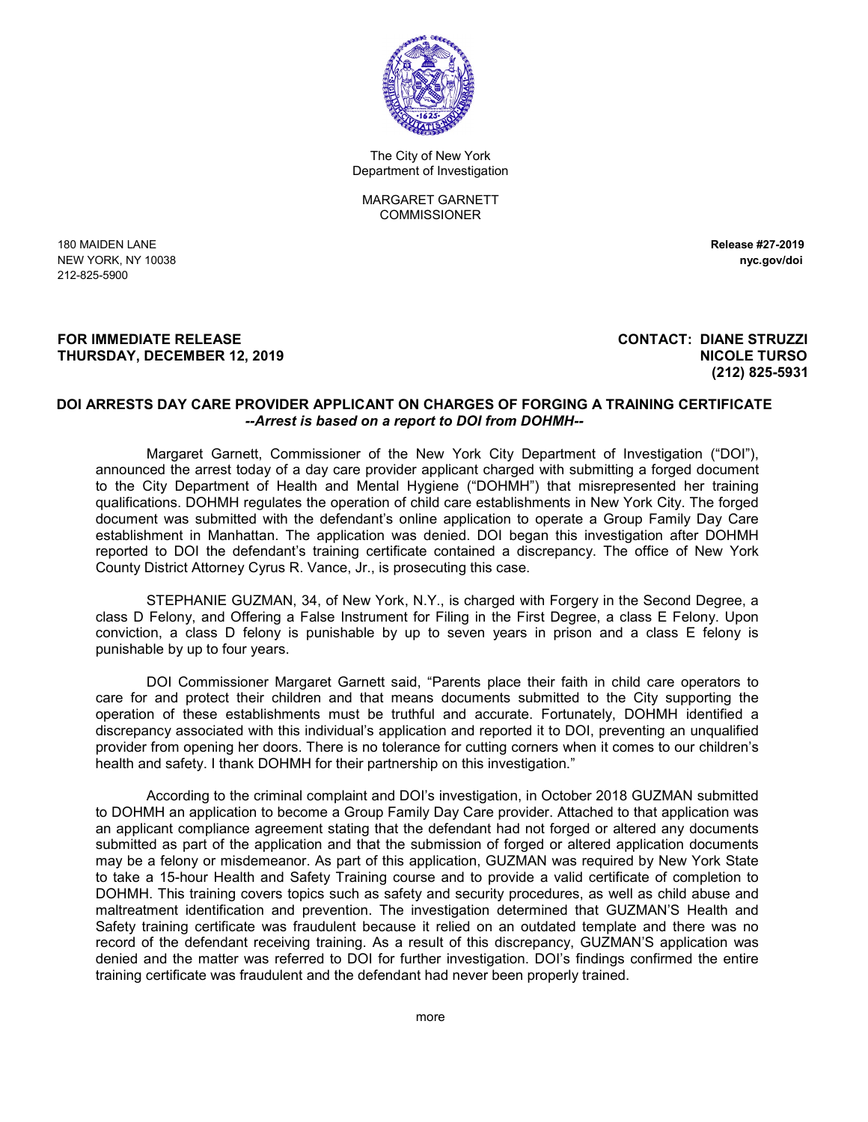

The City of New York Department of Investigation

MARGARET GARNETT **COMMISSIONER** 

180 MAIDEN LANE **Release #27-2019** NEW YORK, NY 10038 **nyc.gov/doi** 212-825-5900

## **FOR IMMEDIATE RELEASE CONTACT: DIANE STRUZZI THURSDAY, DECEMBER 12, 2019 NICOLE TURSO**

## **(212) 825-5931**

## **DOI ARRESTS DAY CARE PROVIDER APPLICANT ON CHARGES OF FORGING A TRAINING CERTIFICATE** *--Arrest is based on a report to DOI from DOHMH--*

Margaret Garnett, Commissioner of the New York City Department of Investigation ("DOI"), announced the arrest today of a day care provider applicant charged with submitting a forged document to the City Department of Health and Mental Hygiene ("DOHMH") that misrepresented her training qualifications. DOHMH regulates the operation of child care establishments in New York City. The forged document was submitted with the defendant's online application to operate a Group Family Day Care establishment in Manhattan. The application was denied. DOI began this investigation after DOHMH reported to DOI the defendant's training certificate contained a discrepancy. The office of New York County District Attorney Cyrus R. Vance, Jr., is prosecuting this case.

STEPHANIE GUZMAN, 34, of New York, N.Y., is charged with Forgery in the Second Degree, a class D Felony, and Offering a False Instrument for Filing in the First Degree, a class E Felony. Upon conviction, a class D felony is punishable by up to seven years in prison and a class E felony is punishable by up to four years.

DOI Commissioner Margaret Garnett said, "Parents place their faith in child care operators to care for and protect their children and that means documents submitted to the City supporting the operation of these establishments must be truthful and accurate. Fortunately, DOHMH identified a discrepancy associated with this individual's application and reported it to DOI, preventing an unqualified provider from opening her doors. There is no tolerance for cutting corners when it comes to our children's health and safety. I thank DOHMH for their partnership on this investigation."

According to the criminal complaint and DOI's investigation, in October 2018 GUZMAN submitted to DOHMH an application to become a Group Family Day Care provider. Attached to that application was an applicant compliance agreement stating that the defendant had not forged or altered any documents submitted as part of the application and that the submission of forged or altered application documents may be a felony or misdemeanor. As part of this application, GUZMAN was required by New York State to take a 15-hour Health and Safety Training course and to provide a valid certificate of completion to DOHMH. This training covers topics such as safety and security procedures, as well as child abuse and maltreatment identification and prevention. The investigation determined that GUZMAN'S Health and Safety training certificate was fraudulent because it relied on an outdated template and there was no record of the defendant receiving training. As a result of this discrepancy, GUZMAN'S application was denied and the matter was referred to DOI for further investigation. DOI's findings confirmed the entire training certificate was fraudulent and the defendant had never been properly trained.